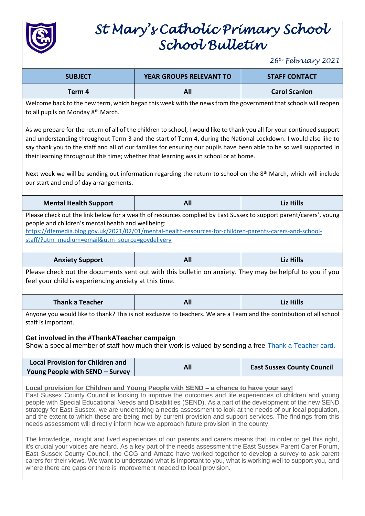

## *St Mary's Catholic Primary School School Bulletin*

*26th February 2021*

| <b>SUBJECT</b>                                                                                                                                                                                                                                                                                                                                                                                                                                                                                                                                                                                                                                                                                                                                                                                                                                                                                                                                                                                                                                                                                                                                                                       | <b>YEAR GROUPS RELEVANT TO</b> | <b>STAFF CONTACT</b>              |  |  |
|--------------------------------------------------------------------------------------------------------------------------------------------------------------------------------------------------------------------------------------------------------------------------------------------------------------------------------------------------------------------------------------------------------------------------------------------------------------------------------------------------------------------------------------------------------------------------------------------------------------------------------------------------------------------------------------------------------------------------------------------------------------------------------------------------------------------------------------------------------------------------------------------------------------------------------------------------------------------------------------------------------------------------------------------------------------------------------------------------------------------------------------------------------------------------------------|--------------------------------|-----------------------------------|--|--|
| Term 4                                                                                                                                                                                                                                                                                                                                                                                                                                                                                                                                                                                                                                                                                                                                                                                                                                                                                                                                                                                                                                                                                                                                                                               | All                            | <b>Carol Scanlon</b>              |  |  |
| Welcome back to the new term, which began this week with the news from the government that schools will reopen<br>to all pupils on Monday 8th March.                                                                                                                                                                                                                                                                                                                                                                                                                                                                                                                                                                                                                                                                                                                                                                                                                                                                                                                                                                                                                                 |                                |                                   |  |  |
| As we prepare for the return of all of the children to school, I would like to thank you all for your continued support<br>and understanding throughout Term 3 and the start of Term 4, during the National Lockdown. I would also like to<br>say thank you to the staff and all of our families for ensuring our pupils have been able to be so well supported in<br>their learning throughout this time; whether that learning was in school or at home.                                                                                                                                                                                                                                                                                                                                                                                                                                                                                                                                                                                                                                                                                                                           |                                |                                   |  |  |
| Next week we will be sending out information regarding the return to school on the 8 <sup>th</sup> March, which will include<br>our start and end of day arrangements.                                                                                                                                                                                                                                                                                                                                                                                                                                                                                                                                                                                                                                                                                                                                                                                                                                                                                                                                                                                                               |                                |                                   |  |  |
| <b>Mental Health Support</b>                                                                                                                                                                                                                                                                                                                                                                                                                                                                                                                                                                                                                                                                                                                                                                                                                                                                                                                                                                                                                                                                                                                                                         | All                            | <b>Liz Hills</b>                  |  |  |
| Please check out the link below for a wealth of resources complied by East Sussex to support parent/carers', young<br>people and children's mental health and wellbeing:<br>https://dfemedia.blog.gov.uk/2021/02/01/mental-health-resources-for-children-parents-carers-and-school-<br>staff/?utm_medium=email&utm_source=govdelivery                                                                                                                                                                                                                                                                                                                                                                                                                                                                                                                                                                                                                                                                                                                                                                                                                                                |                                |                                   |  |  |
| <b>Anxiety Support</b>                                                                                                                                                                                                                                                                                                                                                                                                                                                                                                                                                                                                                                                                                                                                                                                                                                                                                                                                                                                                                                                                                                                                                               | All                            | <b>Liz Hills</b>                  |  |  |
| Please check out the documents sent out with this bulletin on anxiety. They may be helpful to you if you<br>feel your child is experiencing anxiety at this time.                                                                                                                                                                                                                                                                                                                                                                                                                                                                                                                                                                                                                                                                                                                                                                                                                                                                                                                                                                                                                    |                                |                                   |  |  |
| <b>Thank a Teacher</b>                                                                                                                                                                                                                                                                                                                                                                                                                                                                                                                                                                                                                                                                                                                                                                                                                                                                                                                                                                                                                                                                                                                                                               | All                            | <b>Liz Hills</b>                  |  |  |
| Anyone you would like to thank? This is not exclusive to teachers. We are a Team and the contribution of all school<br>staff is important.<br>Get involved in the #ThankATeacher campaign<br>Show a special member of staff how much their work is valued by sending a free Thank a Teacher card.                                                                                                                                                                                                                                                                                                                                                                                                                                                                                                                                                                                                                                                                                                                                                                                                                                                                                    |                                |                                   |  |  |
| <b>Local Provision for Children and</b><br>Young People with SEND - Survey                                                                                                                                                                                                                                                                                                                                                                                                                                                                                                                                                                                                                                                                                                                                                                                                                                                                                                                                                                                                                                                                                                           | All                            | <b>East Sussex County Council</b> |  |  |
| Local provision for Children and Young People with SEND – a chance to have your say!<br>East Sussex County Council is looking to improve the outcomes and life experiences of children and young<br>people with Special Educational Needs and Disabilities (SEND). As a part of the development of the new SEND<br>strategy for East Sussex, we are undertaking a needs assessment to look at the needs of our local population,<br>and the extent to which these are being met by current provision and support services. The findings from this<br>needs assessment will directly inform how we approach future provision in the county.<br>The knowledge, insight and lived experiences of our parents and carers means that, in order to get this right,<br>it's crucial your voices are heard. As a key part of the needs assessment the East Sussex Parent Carer Forum,<br>East Sussex County Council, the CCG and Amaze have worked together to develop a survey to ask parent<br>carers for their views. We want to understand what is important to you, what is working well to support you, and<br>where there are gaps or there is improvement needed to local provision. |                                |                                   |  |  |